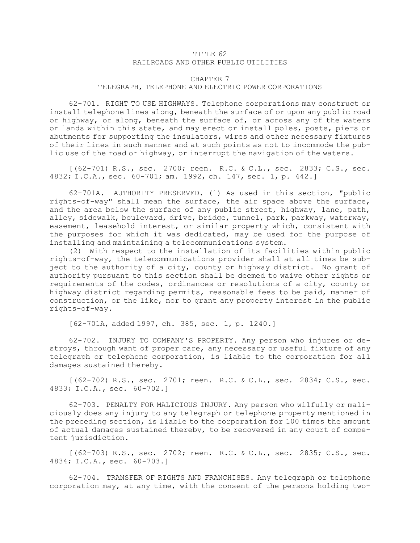## TITLE 62 RAILROADS AND OTHER PUBLIC UTILITIES

## CHAPTER 7 TELEGRAPH, TELEPHONE AND ELECTRIC POWER CORPORATIONS

62-701. RIGHT TO USE HIGHWAYS. Telephone corporations may construct or install telephone lines along, beneath the surface of or upon any public road or highway, or along, beneath the surface of, or across any of the waters or lands within this state, and may erect or install poles, posts, piers or abutments for supporting the insulators, wires and other necessary fixtures of their lines in such manner and at such points as not to incommode the public use of the road or highway, or interrupt the navigation of the waters.

[(62-701) R.S., sec. 2700; reen. R.C. & C.L., sec. 2833; C.S., sec. 4832; I.C.A., sec. 60-701; am. 1992, ch. 147, sec. 1, p. 442.]

62-701A. AUTHORITY PRESERVED. (1) As used in this section, "public rights-of-way" shall mean the surface, the air space above the surface, and the area below the surface of any public street, highway, lane, path, alley, sidewalk, boulevard, drive, bridge, tunnel, park, parkway, waterway, easement, leasehold interest, or similar property which, consistent with the purposes for which it was dedicated, may be used for the purpose of installing and maintaining <sup>a</sup> telecommunications system.

(2) With respect to the installation of its facilities within public rights-of-way, the telecommunications provider shall at all times be subject to the authority of <sup>a</sup> city, county or highway district. No grant of authority pursuant to this section shall be deemed to waive other rights or requirements of the codes, ordinances or resolutions of <sup>a</sup> city, county or highway district regarding permits, reasonable fees to be paid, manner of construction, or the like, nor to grant any property interest in the public rights-of-way.

[62-701A, added 1997, ch. 385, sec. 1, p. 1240.]

62-702. INJURY TO COMPANY'S PROPERTY. Any person who injures or destroys, through want of proper care, any necessary or useful fixture of any telegraph or telephone corporation, is liable to the corporation for all damages sustained thereby.

[(62-702) R.S., sec. 2701; reen. R.C. & C.L., sec. 2834; C.S., sec. 4833; I.C.A., sec. 60-702.]

62-703. PENALTY FOR MALICIOUS INJURY. Any person who wilfully or maliciously does any injury to any telegraph or telephone property mentioned in the preceding section, is liable to the corporation for 100 times the amount of actual damages sustained thereby, to be recovered in any court of competent jurisdiction.

[(62-703) R.S., sec. 2702; reen. R.C. & C.L., sec. 2835; C.S., sec. 4834; I.C.A., sec. 60-703.]

62-704. TRANSFER OF RIGHTS AND FRANCHISES. Any telegraph or telephone corporation may, at any time, with the consent of the persons holding two